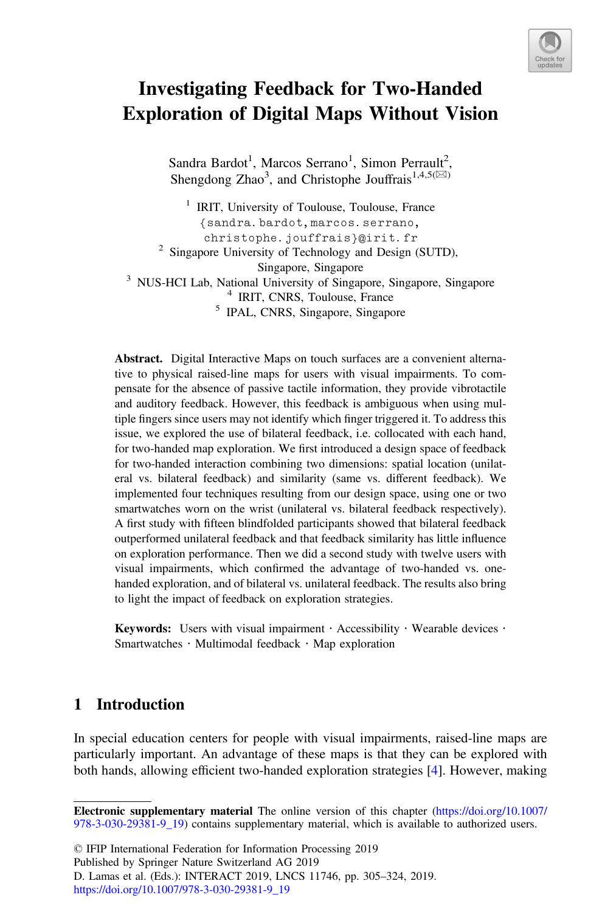

# Investigating Feedback for Two-Handed Exploration of Digital Maps Without Vision

Sandra Bardot<sup>1</sup>, Marcos Serrano<sup>1</sup>, Simon Perrault<sup>2</sup>, Shengdong Zhao<sup>3</sup>, and Christophe Jouffrais<sup>1,4,5( $\boxtimes$ )</sup>

<sup>1</sup> IRIT, University of Toulouse, Toulouse, France {sandra.bardot,marcos.serrano, christophe.jouffrais}@irit.fr Singapore University of Technology and Design (SUTD), Singapore, Singapore<br>
<sup>3</sup> NUS-HCI Lab, National University of Singapore, Singapore, Singapore<br>
<sup>4</sup> IRIT, CNRS, Toulouse, France<br>
<sup>5</sup> IPAL, CNRS, Singapore, Singapore

Abstract. Digital Interactive Maps on touch surfaces are a convenient alternative to physical raised-line maps for users with visual impairments. To compensate for the absence of passive tactile information, they provide vibrotactile and auditory feedback. However, this feedback is ambiguous when using multiple fingers since users may not identify which finger triggered it. To address this issue, we explored the use of bilateral feedback, i.e. collocated with each hand, for two-handed map exploration. We first introduced a design space of feedback for two-handed interaction combining two dimensions: spatial location (unilateral vs. bilateral feedback) and similarity (same vs. different feedback). We implemented four techniques resulting from our design space, using one or two smartwatches worn on the wrist (unilateral vs. bilateral feedback respectively). A first study with fifteen blindfolded participants showed that bilateral feedback outperformed unilateral feedback and that feedback similarity has little influence on exploration performance. Then we did a second study with twelve users with visual impairments, which confirmed the advantage of two-handed vs. onehanded exploration, and of bilateral vs. unilateral feedback. The results also bring to light the impact of feedback on exploration strategies.

**Keywords:** Users with visual impairment  $\cdot$  Accessibility  $\cdot$  Wearable devices  $\cdot$  Smartwatches  $\cdot$  Multimodal feedback  $\cdot$  Map exploration

## 1 Introduction

In special education centers for people with visual impairments, raised-line maps are particularly important. An advantage of these maps is that they can be explored with both hands, allowing efficient two-handed exploration strategies [[4\]](#page-17-0). However, making

© IFIP International Federation for Information Processing 2019 Published by Springer Nature Switzerland AG 2019 D. Lamas et al. (Eds.): INTERACT 2019, LNCS 11746, pp. 305–324, 2019. [https://doi.org/10.1007/978-3-030-29381-9\\_19](https://doi.org/10.1007/978-3-030-29381-9_19)

Electronic supplementary material The online version of this chapter ([https://doi.org/10.1007/](http://dx.doi.org/10.1007/978-3-030-29381-9_19) [978-3-030-29381-9\\_19](http://dx.doi.org/10.1007/978-3-030-29381-9_19)) contains supplementary material, which is available to authorized users.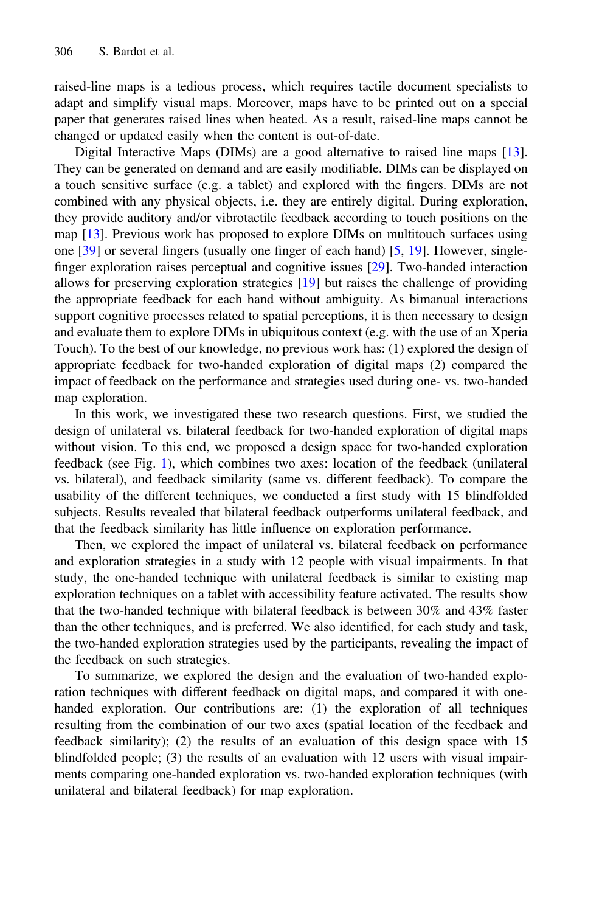raised-line maps is a tedious process, which requires tactile document specialists to adapt and simplify visual maps. Moreover, maps have to be printed out on a special paper that generates raised lines when heated. As a result, raised-line maps cannot be changed or updated easily when the content is out-of-date.

Digital Interactive Maps (DIMs) are a good alternative to raised line maps [[13\]](#page-17-0). They can be generated on demand and are easily modifiable. DIMs can be displayed on a touch sensitive surface (e.g. a tablet) and explored with the fingers. DIMs are not combined with any physical objects, i.e. they are entirely digital. During exploration, they provide auditory and/or vibrotactile feedback according to touch positions on the map [\[13](#page-17-0)]. Previous work has proposed to explore DIMs on multitouch surfaces using one [\[39](#page-19-0)] or several fingers (usually one finger of each hand) [[5,](#page-17-0) [19](#page-18-0)]. However, singlefinger exploration raises perceptual and cognitive issues [\[29](#page-18-0)]. Two-handed interaction allows for preserving exploration strategies [[19\]](#page-18-0) but raises the challenge of providing the appropriate feedback for each hand without ambiguity. As bimanual interactions support cognitive processes related to spatial perceptions, it is then necessary to design and evaluate them to explore DIMs in ubiquitous context (e.g. with the use of an Xperia Touch). To the best of our knowledge, no previous work has: (1) explored the design of appropriate feedback for two-handed exploration of digital maps (2) compared the impact of feedback on the performance and strategies used during one- vs. two-handed map exploration.

In this work, we investigated these two research questions. First, we studied the design of unilateral vs. bilateral feedback for two-handed exploration of digital maps without vision. To this end, we proposed a design space for two-handed exploration feedback (see Fig. [1](#page-4-0)), which combines two axes: location of the feedback (unilateral vs. bilateral), and feedback similarity (same vs. different feedback). To compare the usability of the different techniques, we conducted a first study with 15 blindfolded subjects. Results revealed that bilateral feedback outperforms unilateral feedback, and that the feedback similarity has little influence on exploration performance.

Then, we explored the impact of unilateral vs. bilateral feedback on performance and exploration strategies in a study with 12 people with visual impairments. In that study, the one-handed technique with unilateral feedback is similar to existing map exploration techniques on a tablet with accessibility feature activated. The results show that the two-handed technique with bilateral feedback is between 30% and 43% faster than the other techniques, and is preferred. We also identified, for each study and task, the two-handed exploration strategies used by the participants, revealing the impact of the feedback on such strategies.

To summarize, we explored the design and the evaluation of two-handed exploration techniques with different feedback on digital maps, and compared it with onehanded exploration. Our contributions are: (1) the exploration of all techniques resulting from the combination of our two axes (spatial location of the feedback and feedback similarity); (2) the results of an evaluation of this design space with 15 blindfolded people; (3) the results of an evaluation with 12 users with visual impairments comparing one-handed exploration vs. two-handed exploration techniques (with unilateral and bilateral feedback) for map exploration.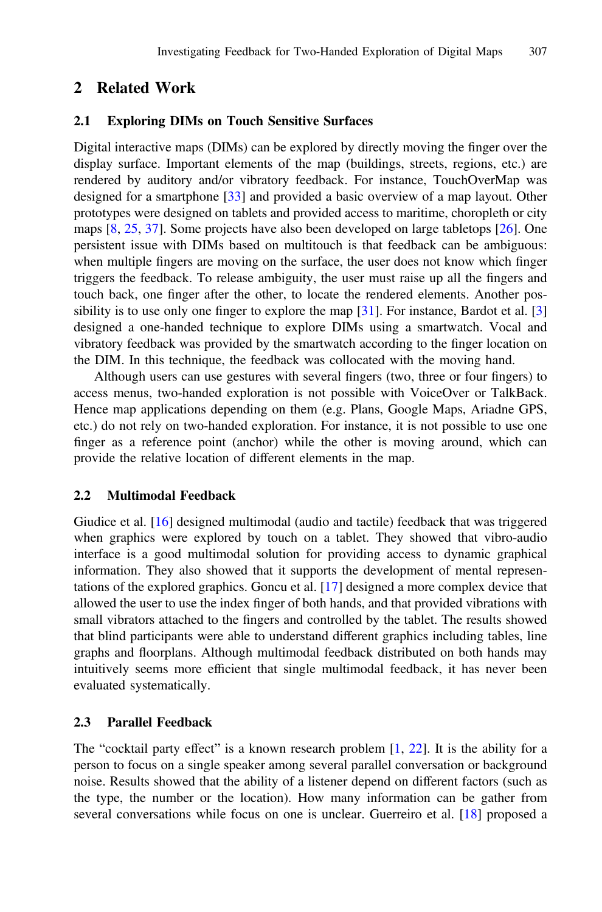#### 2 Related Work

#### 2.1 Exploring DIMs on Touch Sensitive Surfaces

Digital interactive maps (DIMs) can be explored by directly moving the finger over the display surface. Important elements of the map (buildings, streets, regions, etc.) are rendered by auditory and/or vibratory feedback. For instance, TouchOverMap was designed for a smartphone [\[33](#page-19-0)] and provided a basic overview of a map layout. Other prototypes were designed on tablets and provided access to maritime, choropleth or city maps [[8,](#page-17-0) [25,](#page-18-0) [37\]](#page-19-0). Some projects have also been developed on large tabletops [[26\]](#page-18-0). One persistent issue with DIMs based on multitouch is that feedback can be ambiguous: when multiple fingers are moving on the surface, the user does not know which finger triggers the feedback. To release ambiguity, the user must raise up all the fingers and touch back, one finger after the other, to locate the rendered elements. Another possibility is to use only one finger to explore the map  $[31]$  $[31]$ . For instance, Bardot et al.  $[3]$  $[3]$ designed a one-handed technique to explore DIMs using a smartwatch. Vocal and vibratory feedback was provided by the smartwatch according to the finger location on the DIM. In this technique, the feedback was collocated with the moving hand.

Although users can use gestures with several fingers (two, three or four fingers) to access menus, two-handed exploration is not possible with VoiceOver or TalkBack. Hence map applications depending on them (e.g. Plans, Google Maps, Ariadne GPS, etc.) do not rely on two-handed exploration. For instance, it is not possible to use one finger as a reference point (anchor) while the other is moving around, which can provide the relative location of different elements in the map.

#### 2.2 Multimodal Feedback

Giudice et al. [\[16](#page-18-0)] designed multimodal (audio and tactile) feedback that was triggered when graphics were explored by touch on a tablet. They showed that vibro-audio interface is a good multimodal solution for providing access to dynamic graphical information. They also showed that it supports the development of mental representations of the explored graphics. Goncu et al. [\[17](#page-18-0)] designed a more complex device that allowed the user to use the index finger of both hands, and that provided vibrations with small vibrators attached to the fingers and controlled by the tablet. The results showed that blind participants were able to understand different graphics including tables, line graphs and floorplans. Although multimodal feedback distributed on both hands may intuitively seems more efficient that single multimodal feedback, it has never been evaluated systematically.

#### 2.3 Parallel Feedback

The "cocktail party effect" is a known research problem [[1,](#page-17-0) [22\]](#page-18-0). It is the ability for a person to focus on a single speaker among several parallel conversation or background noise. Results showed that the ability of a listener depend on different factors (such as the type, the number or the location). How many information can be gather from several conversations while focus on one is unclear. Guerreiro et al. [[18\]](#page-18-0) proposed a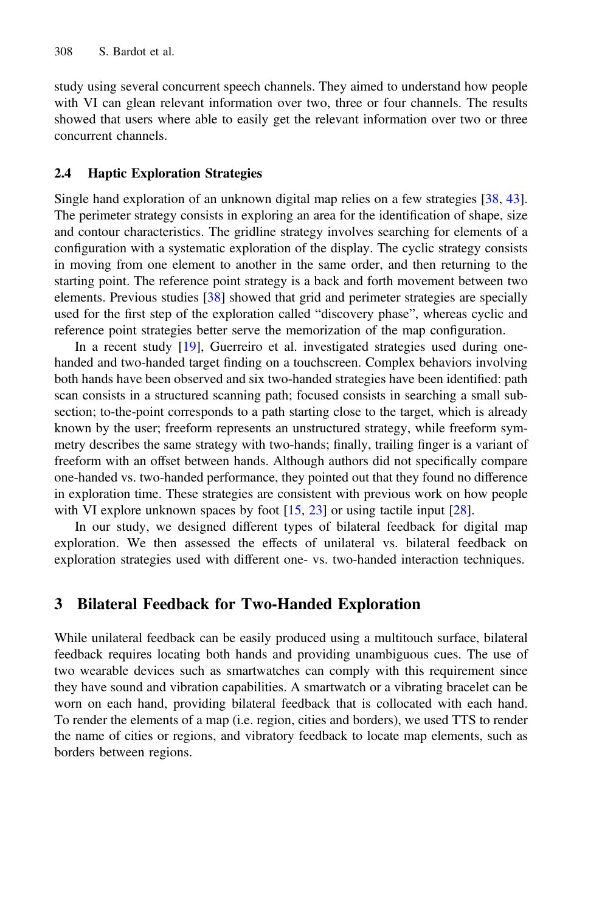study using several concurrent speech channels. They aimed to understand how people with VI can glean relevant information over two, three or four channels. The results showed that users where able to easily get the relevant information over two or three concurrent channels.

#### 2.4 Haptic Exploration Strategies

Single hand exploration of an unknown digital map relies on a few strategies [\[38](#page-19-0), [43\]](#page-19-0). The perimeter strategy consists in exploring an area for the identification of shape, size and contour characteristics. The gridline strategy involves searching for elements of a configuration with a systematic exploration of the display. The cyclic strategy consists in moving from one element to another in the same order, and then returning to the starting point. The reference point strategy is a back and forth movement between two elements. Previous studies [\[38](#page-19-0)] showed that grid and perimeter strategies are specially used for the first step of the exploration called "discovery phase", whereas cyclic and reference point strategies better serve the memorization of the map configuration.

In a recent study [\[19](#page-18-0)], Guerreiro et al. investigated strategies used during onehanded and two-handed target finding on a touchscreen. Complex behaviors involving both hands have been observed and six two-handed strategies have been identified: path scan consists in a structured scanning path; focused consists in searching a small subsection; to-the-point corresponds to a path starting close to the target, which is already known by the user; freeform represents an unstructured strategy, while freeform symmetry describes the same strategy with two-hands; finally, trailing finger is a variant of freeform with an offset between hands. Although authors did not specifically compare one-handed vs. two-handed performance, they pointed out that they found no difference in exploration time. These strategies are consistent with previous work on how people with VI explore unknown spaces by foot  $[15, 23]$  $[15, 23]$  $[15, 23]$  or using tactile input [\[28](#page-18-0)].

In our study, we designed different types of bilateral feedback for digital map exploration. We then assessed the effects of unilateral vs. bilateral feedback on exploration strategies used with different one- vs. two-handed interaction techniques.

## 3 Bilateral Feedback for Two-Handed Exploration

While unilateral feedback can be easily produced using a multitouch surface, bilateral feedback requires locating both hands and providing unambiguous cues. The use of two wearable devices such as smartwatches can comply with this requirement since they have sound and vibration capabilities. A smartwatch or a vibrating bracelet can be worn on each hand, providing bilateral feedback that is collocated with each hand. To render the elements of a map (i.e. region, cities and borders), we used TTS to render the name of cities or regions, and vibratory feedback to locate map elements, such as borders between regions.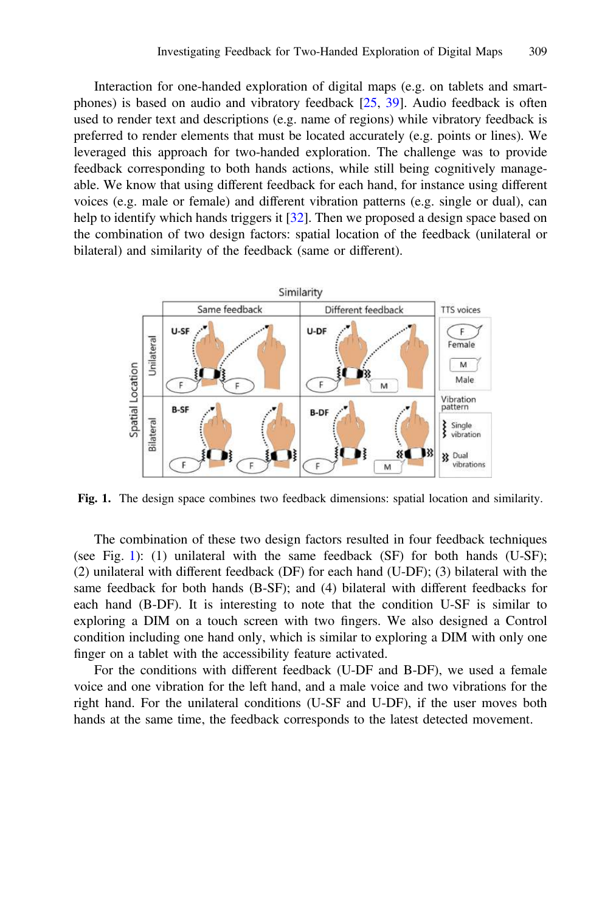<span id="page-4-0"></span>Interaction for one-handed exploration of digital maps (e.g. on tablets and smartphones) is based on audio and vibratory feedback [[25,](#page-18-0) [39\]](#page-19-0). Audio feedback is often used to render text and descriptions (e.g. name of regions) while vibratory feedback is preferred to render elements that must be located accurately (e.g. points or lines). We leveraged this approach for two-handed exploration. The challenge was to provide feedback corresponding to both hands actions, while still being cognitively manageable. We know that using different feedback for each hand, for instance using different voices (e.g. male or female) and different vibration patterns (e.g. single or dual), can help to identify which hands triggers it [[32\]](#page-19-0). Then we proposed a design space based on the combination of two design factors: spatial location of the feedback (unilateral or bilateral) and similarity of the feedback (same or different).



Fig. 1. The design space combines two feedback dimensions: spatial location and similarity.

The combination of these two design factors resulted in four feedback techniques (see Fig. 1): (1) unilateral with the same feedback  $(SF)$  for both hands (U-SF); (2) unilateral with different feedback (DF) for each hand (U-DF); (3) bilateral with the same feedback for both hands (B-SF); and (4) bilateral with different feedbacks for each hand (B-DF). It is interesting to note that the condition U-SF is similar to exploring a DIM on a touch screen with two fingers. We also designed a Control condition including one hand only, which is similar to exploring a DIM with only one finger on a tablet with the accessibility feature activated.

For the conditions with different feedback (U-DF and B-DF), we used a female voice and one vibration for the left hand, and a male voice and two vibrations for the right hand. For the unilateral conditions (U-SF and U-DF), if the user moves both hands at the same time, the feedback corresponds to the latest detected movement.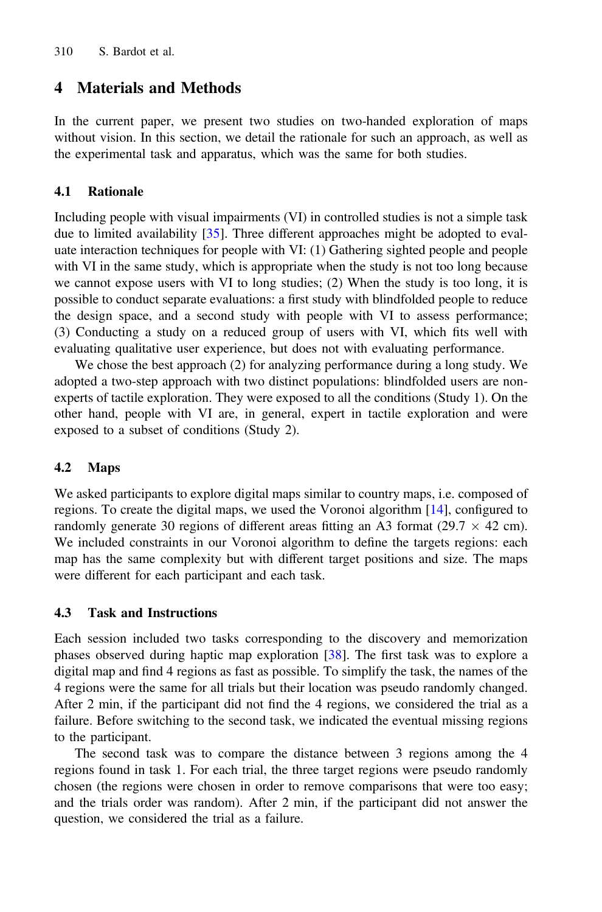## 4 Materials and Methods

In the current paper, we present two studies on two-handed exploration of maps without vision. In this section, we detail the rationale for such an approach, as well as the experimental task and apparatus, which was the same for both studies.

#### 4.1 Rationale

Including people with visual impairments (VI) in controlled studies is not a simple task due to limited availability [[35\]](#page-19-0). Three different approaches might be adopted to evaluate interaction techniques for people with VI: (1) Gathering sighted people and people with VI in the same study, which is appropriate when the study is not too long because we cannot expose users with VI to long studies; (2) When the study is too long, it is possible to conduct separate evaluations: a first study with blindfolded people to reduce the design space, and a second study with people with VI to assess performance; (3) Conducting a study on a reduced group of users with VI, which fits well with evaluating qualitative user experience, but does not with evaluating performance.

We chose the best approach (2) for analyzing performance during a long study. We adopted a two-step approach with two distinct populations: blindfolded users are nonexperts of tactile exploration. They were exposed to all the conditions (Study 1). On the other hand, people with VI are, in general, expert in tactile exploration and were exposed to a subset of conditions (Study 2).

#### 4.2 Maps

We asked participants to explore digital maps similar to country maps, i.e. composed of regions. To create the digital maps, we used the Voronoi algorithm [[14\]](#page-18-0), configured to randomly generate 30 regions of different areas fitting an A3 format (29.7  $\times$  42 cm). We included constraints in our Voronoi algorithm to define the targets regions: each map has the same complexity but with different target positions and size. The maps were different for each participant and each task.

#### 4.3 Task and Instructions

Each session included two tasks corresponding to the discovery and memorization phases observed during haptic map exploration [[38\]](#page-19-0). The first task was to explore a digital map and find 4 regions as fast as possible. To simplify the task, the names of the 4 regions were the same for all trials but their location was pseudo randomly changed. After 2 min, if the participant did not find the 4 regions, we considered the trial as a failure. Before switching to the second task, we indicated the eventual missing regions to the participant.

The second task was to compare the distance between 3 regions among the 4 regions found in task 1. For each trial, the three target regions were pseudo randomly chosen (the regions were chosen in order to remove comparisons that were too easy; and the trials order was random). After 2 min, if the participant did not answer the question, we considered the trial as a failure.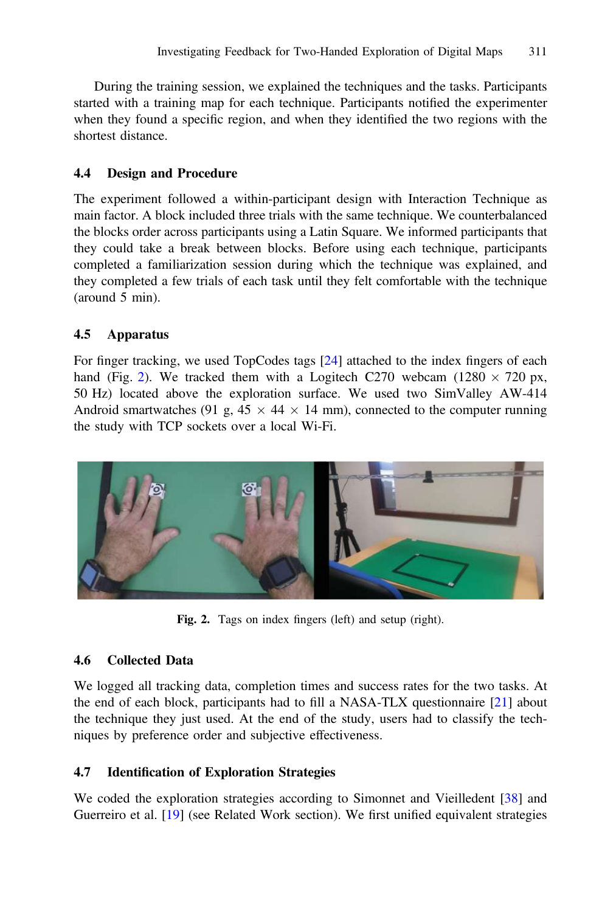During the training session, we explained the techniques and the tasks. Participants started with a training map for each technique. Participants notified the experimenter when they found a specific region, and when they identified the two regions with the shortest distance.

#### 4.4 Design and Procedure

The experiment followed a within-participant design with Interaction Technique as main factor. A block included three trials with the same technique. We counterbalanced the blocks order across participants using a Latin Square. We informed participants that they could take a break between blocks. Before using each technique, participants completed a familiarization session during which the technique was explained, and they completed a few trials of each task until they felt comfortable with the technique (around 5 min).

#### 4.5 Apparatus

For finger tracking, we used TopCodes tags [[24\]](#page-18-0) attached to the index fingers of each hand (Fig. 2). We tracked them with a Logitech C270 webcam (1280  $\times$  720 px, 50 Hz) located above the exploration surface. We used two SimValley AW-414 Android smartwatches (91 g,  $45 \times 44 \times 14$  mm), connected to the computer running the study with TCP sockets over a local Wi-Fi.



Fig. 2. Tags on index fingers (left) and setup (right).

## 4.6 Collected Data

We logged all tracking data, completion times and success rates for the two tasks. At the end of each block, participants had to fill a NASA-TLX questionnaire [\[21\]](#page-18-0) about the technique they just used. At the end of the study, users had to classify the techniques by preference order and subjective effectiveness.

## 4.7 Identification of Exploration Strategies

We coded the exploration strategies according to Simonnet and Vieilledent [\[38](#page-19-0)] and Guerreiro et al. [\[19](#page-18-0)] (see Related Work section). We first unified equivalent strategies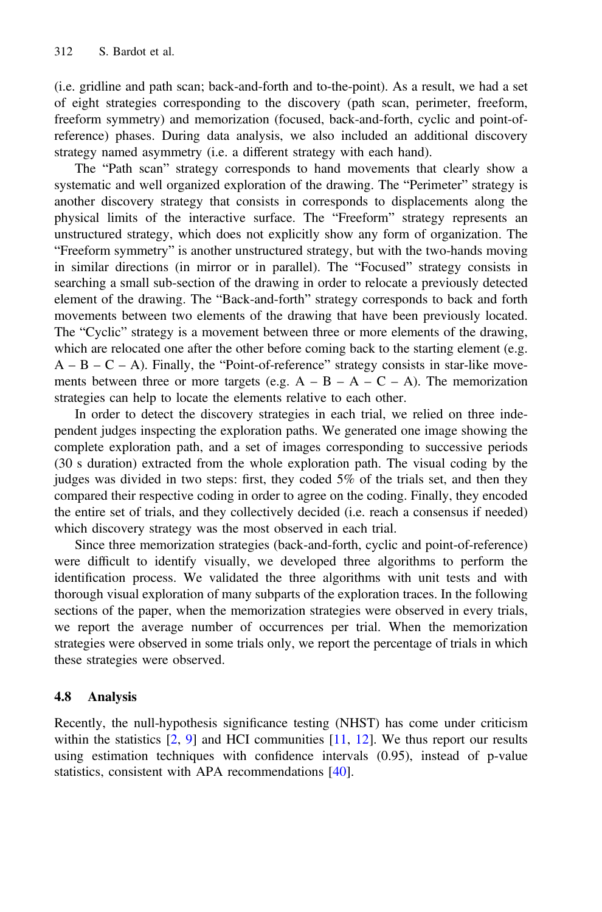(i.e. gridline and path scan; back-and-forth and to-the-point). As a result, we had a set of eight strategies corresponding to the discovery (path scan, perimeter, freeform, freeform symmetry) and memorization (focused, back-and-forth, cyclic and point-ofreference) phases. During data analysis, we also included an additional discovery strategy named asymmetry (i.e. a different strategy with each hand).

The "Path scan" strategy corresponds to hand movements that clearly show a systematic and well organized exploration of the drawing. The "Perimeter" strategy is another discovery strategy that consists in corresponds to displacements along the physical limits of the interactive surface. The "Freeform" strategy represents an unstructured strategy, which does not explicitly show any form of organization. The "Freeform symmetry" is another unstructured strategy, but with the two-hands moving in similar directions (in mirror or in parallel). The "Focused" strategy consists in searching a small sub-section of the drawing in order to relocate a previously detected element of the drawing. The "Back-and-forth" strategy corresponds to back and forth movements between two elements of the drawing that have been previously located. The "Cyclic" strategy is a movement between three or more elements of the drawing, which are relocated one after the other before coming back to the starting element (e.g.  $A - B - C - A$ ). Finally, the "Point-of-reference" strategy consists in star-like movements between three or more targets (e.g.  $A - B - A - C - A$ ). The memorization strategies can help to locate the elements relative to each other.

In order to detect the discovery strategies in each trial, we relied on three independent judges inspecting the exploration paths. We generated one image showing the complete exploration path, and a set of images corresponding to successive periods (30 s duration) extracted from the whole exploration path. The visual coding by the judges was divided in two steps: first, they coded 5% of the trials set, and then they compared their respective coding in order to agree on the coding. Finally, they encoded the entire set of trials, and they collectively decided (i.e. reach a consensus if needed) which discovery strategy was the most observed in each trial.

Since three memorization strategies (back-and-forth, cyclic and point-of-reference) were difficult to identify visually, we developed three algorithms to perform the identification process. We validated the three algorithms with unit tests and with thorough visual exploration of many subparts of the exploration traces. In the following sections of the paper, when the memorization strategies were observed in every trials, we report the average number of occurrences per trial. When the memorization strategies were observed in some trials only, we report the percentage of trials in which these strategies were observed.

#### 4.8 Analysis

Recently, the null-hypothesis significance testing (NHST) has come under criticism within the statistics  $[2, 9]$  $[2, 9]$  $[2, 9]$  $[2, 9]$  and HCI communities  $[11, 12]$  $[11, 12]$  $[11, 12]$  $[11, 12]$ . We thus report our results using estimation techniques with confidence intervals (0.95), instead of p-value statistics, consistent with APA recommendations [\[40](#page-19-0)].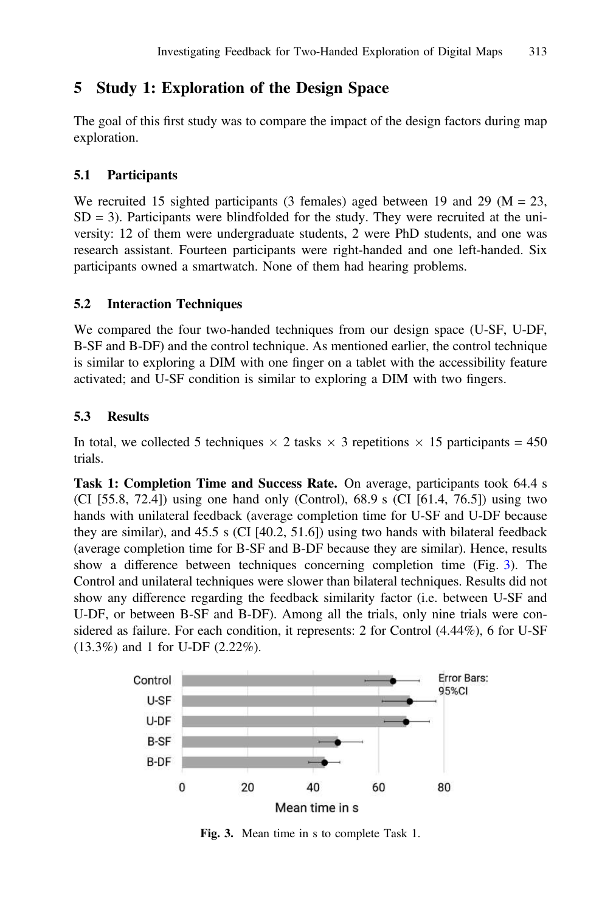## <span id="page-8-0"></span>5 Study 1: Exploration of the Design Space

The goal of this first study was to compare the impact of the design factors during map exploration.

#### 5.1 Participants

We recruited 15 sighted participants (3 females) aged between 19 and 29 ( $M = 23$ ,  $SD = 3$ ). Participants were blindfolded for the study. They were recruited at the university: 12 of them were undergraduate students, 2 were PhD students, and one was research assistant. Fourteen participants were right-handed and one left-handed. Six participants owned a smartwatch. None of them had hearing problems.

#### 5.2 Interaction Techniques

We compared the four two-handed techniques from our design space (U-SF, U-DF, B-SF and B-DF) and the control technique. As mentioned earlier, the control technique is similar to exploring a DIM with one finger on a tablet with the accessibility feature activated; and U-SF condition is similar to exploring a DIM with two fingers.

#### 5.3 Results

In total, we collected 5 techniques  $\times$  2 tasks  $\times$  3 repetitions  $\times$  15 participants = 450 trials.

Task 1: Completion Time and Success Rate. On average, participants took 64.4 s (CI  $[55.8, 72.4]$ ) using one hand only (Control), 68.9 s (CI  $[61.4, 76.5]$ ) using two hands with unilateral feedback (average completion time for U-SF and U-DF because they are similar), and 45.5 s (CI [40.2, 51.6]) using two hands with bilateral feedback (average completion time for B-SF and B-DF because they are similar). Hence, results show a difference between techniques concerning completion time (Fig. 3). The Control and unilateral techniques were slower than bilateral techniques. Results did not show any difference regarding the feedback similarity factor (i.e. between U-SF and U-DF, or between B-SF and B-DF). Among all the trials, only nine trials were considered as failure. For each condition, it represents: 2 for Control (4.44%), 6 for U-SF (13.3%) and 1 for U-DF (2.22%).



Fig. 3. Mean time in s to complete Task 1.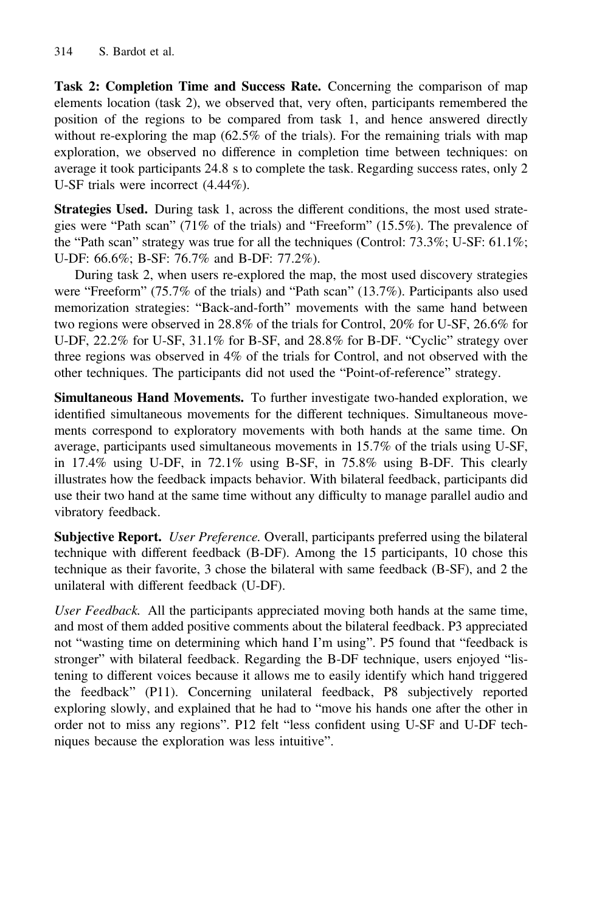Task 2: Completion Time and Success Rate. Concerning the comparison of map elements location (task 2), we observed that, very often, participants remembered the position of the regions to be compared from task 1, and hence answered directly without re-exploring the map (62.5% of the trials). For the remaining trials with map exploration, we observed no difference in completion time between techniques: on average it took participants 24.8 s to complete the task. Regarding success rates, only 2 U-SF trials were incorrect (4.44%).

Strategies Used. During task 1, across the different conditions, the most used strategies were "Path scan" (71% of the trials) and "Freeform" (15.5%). The prevalence of the "Path scan" strategy was true for all the techniques (Control: 73.3%; U-SF: 61.1%; U-DF: 66.6%; B-SF: 76.7% and B-DF: 77.2%).

During task 2, when users re-explored the map, the most used discovery strategies were "Freeform" (75.7% of the trials) and "Path scan" (13.7%). Participants also used memorization strategies: "Back-and-forth" movements with the same hand between two regions were observed in 28.8% of the trials for Control, 20% for U-SF, 26.6% for U-DF, 22.2% for U-SF, 31.1% for B-SF, and 28.8% for B-DF. "Cyclic" strategy over three regions was observed in 4% of the trials for Control, and not observed with the other techniques. The participants did not used the "Point-of-reference" strategy.

Simultaneous Hand Movements. To further investigate two-handed exploration, we identified simultaneous movements for the different techniques. Simultaneous movements correspond to exploratory movements with both hands at the same time. On average, participants used simultaneous movements in 15.7% of the trials using U-SF, in 17.4% using U-DF, in 72.1% using B-SF, in 75.8% using B-DF. This clearly illustrates how the feedback impacts behavior. With bilateral feedback, participants did use their two hand at the same time without any difficulty to manage parallel audio and vibratory feedback.

Subjective Report. *User Preference*. Overall, participants preferred using the bilateral technique with different feedback (B-DF). Among the 15 participants, 10 chose this technique as their favorite, 3 chose the bilateral with same feedback (B-SF), and 2 the unilateral with different feedback (U-DF).

User Feedback. All the participants appreciated moving both hands at the same time, and most of them added positive comments about the bilateral feedback. P3 appreciated not "wasting time on determining which hand I'm using". P5 found that "feedback is stronger" with bilateral feedback. Regarding the B-DF technique, users enjoyed "listening to different voices because it allows me to easily identify which hand triggered the feedback" (P11). Concerning unilateral feedback, P8 subjectively reported exploring slowly, and explained that he had to "move his hands one after the other in order not to miss any regions". P12 felt "less confident using U-SF and U-DF techniques because the exploration was less intuitive".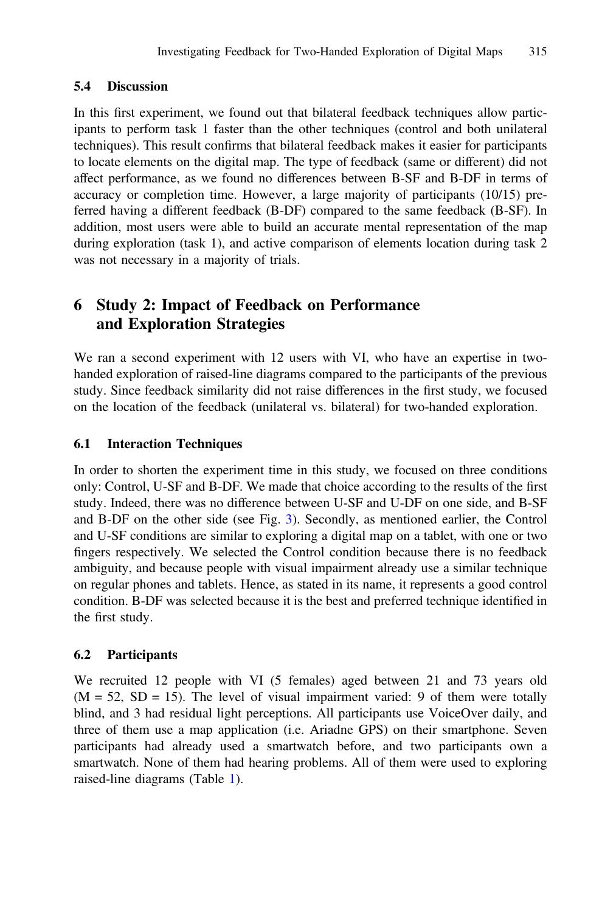## 5.4 Discussion

In this first experiment, we found out that bilateral feedback techniques allow participants to perform task 1 faster than the other techniques (control and both unilateral techniques). This result confirms that bilateral feedback makes it easier for participants to locate elements on the digital map. The type of feedback (same or different) did not affect performance, as we found no differences between B-SF and B-DF in terms of accuracy or completion time. However, a large majority of participants (10/15) preferred having a different feedback (B-DF) compared to the same feedback (B-SF). In addition, most users were able to build an accurate mental representation of the map during exploration (task 1), and active comparison of elements location during task 2 was not necessary in a majority of trials.

## 6 Study 2: Impact of Feedback on Performance and Exploration Strategies

We ran a second experiment with 12 users with VI, who have an expertise in twohanded exploration of raised-line diagrams compared to the participants of the previous study. Since feedback similarity did not raise differences in the first study, we focused on the location of the feedback (unilateral vs. bilateral) for two-handed exploration.

## 6.1 Interaction Techniques

In order to shorten the experiment time in this study, we focused on three conditions only: Control, U-SF and B-DF. We made that choice according to the results of the first study. Indeed, there was no difference between U-SF and U-DF on one side, and B-SF and B-DF on the other side (see Fig. [3\)](#page-8-0). Secondly, as mentioned earlier, the Control and U-SF conditions are similar to exploring a digital map on a tablet, with one or two fingers respectively. We selected the Control condition because there is no feedback ambiguity, and because people with visual impairment already use a similar technique on regular phones and tablets. Hence, as stated in its name, it represents a good control condition. B-DF was selected because it is the best and preferred technique identified in the first study.

## 6.2 Participants

We recruited 12 people with VI (5 females) aged between 21 and 73 years old  $(M = 52, SD = 15)$ . The level of visual impairment varied: 9 of them were totally blind, and 3 had residual light perceptions. All participants use VoiceOver daily, and three of them use a map application (i.e. Ariadne GPS) on their smartphone. Seven participants had already used a smartwatch before, and two participants own a smartwatch. None of them had hearing problems. All of them were used to exploring raised-line diagrams (Table [1](#page-11-0)).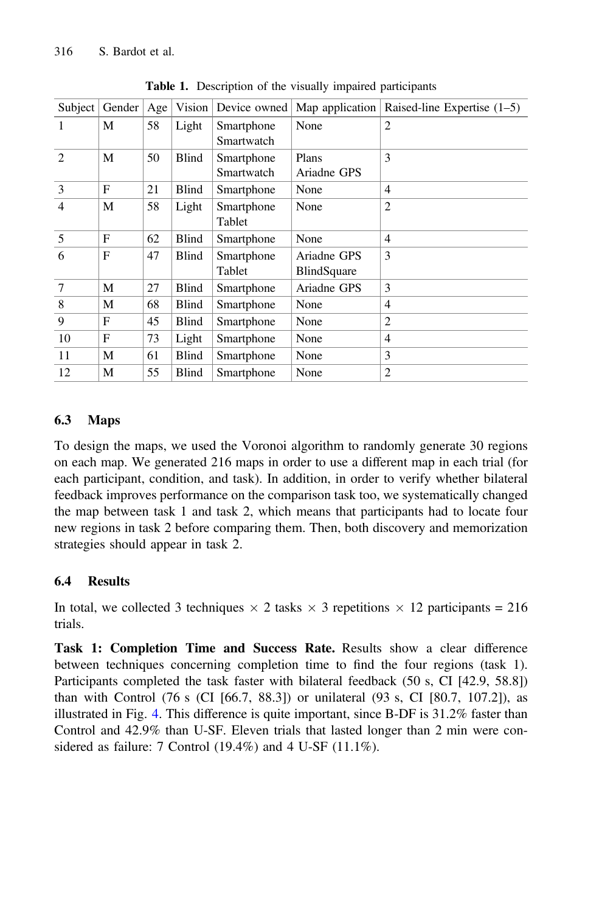<span id="page-11-0"></span>

| Subject        | Gender | Age | Vision       | Device owned             | Map application                   | Raised-line Expertise $(1-5)$ |
|----------------|--------|-----|--------------|--------------------------|-----------------------------------|-------------------------------|
|                | M      | 58  | Light        | Smartphone<br>Smartwatch | None                              | $\overline{2}$                |
| $\overline{c}$ | М      | 50  | Blind        | Smartphone<br>Smartwatch | Plans<br>Ariadne GPS              | 3                             |
| 3              | F      | 21  | Blind        | Smartphone               | None                              | $\overline{4}$                |
| $\overline{4}$ | M      | 58  | Light        | Smartphone<br>Tablet     | None                              | $\overline{2}$                |
| 5              | F      | 62  | Blind        | Smartphone               | None                              | $\overline{4}$                |
| 6              | F      | 47  | Blind        | Smartphone<br>Tablet     | Ariadne GPS<br><b>BlindSquare</b> | 3                             |
| $\tau$         | М      | 27  | Blind        | Smartphone               | Ariadne GPS                       | 3                             |
| 8              | М      | 68  | Blind        | Smartphone               | None                              | 4                             |
| 9              | F      | 45  | <b>Blind</b> | Smartphone               | None                              | $\overline{2}$                |
| 10             | F      | 73  | Light        | Smartphone               | None                              | $\overline{4}$                |
| 11             | М      | 61  | Blind        | Smartphone               | None                              | 3                             |
| 12             | М      | 55  | <b>Blind</b> | Smartphone               | None                              | $\overline{2}$                |

Table 1. Description of the visually impaired participants

#### 6.3 Maps

To design the maps, we used the Voronoi algorithm to randomly generate 30 regions on each map. We generated 216 maps in order to use a different map in each trial (for each participant, condition, and task). In addition, in order to verify whether bilateral feedback improves performance on the comparison task too, we systematically changed the map between task 1 and task 2, which means that participants had to locate four new regions in task 2 before comparing them. Then, both discovery and memorization strategies should appear in task 2.

## 6.4 Results

In total, we collected 3 techniques  $\times$  2 tasks  $\times$  3 repetitions  $\times$  12 participants = 216 trials.

Task 1: Completion Time and Success Rate. Results show a clear difference between techniques concerning completion time to find the four regions (task 1). Participants completed the task faster with bilateral feedback (50 s, CI [42.9, 58.8]) than with Control (76 s (CI [66.7, 88.3]) or unilateral (93 s, CI [80.7, 107.2]), as illustrated in Fig. [4.](#page-12-0) This difference is quite important, since B-DF is 31.2% faster than Control and 42.9% than U-SF. Eleven trials that lasted longer than 2 min were considered as failure: 7 Control (19.4%) and 4 U-SF (11.1%).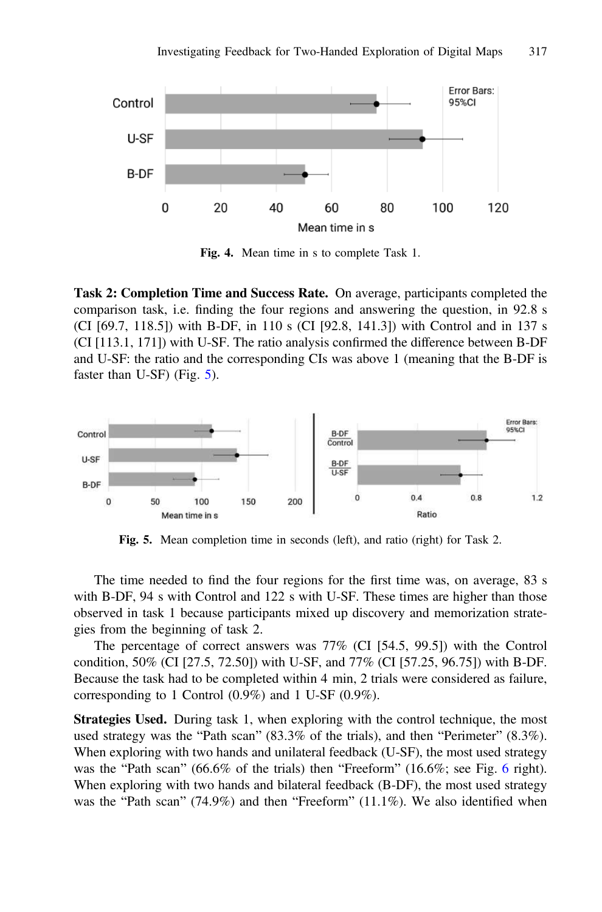<span id="page-12-0"></span>

Fig. 4. Mean time in s to complete Task 1.

Task 2: Completion Time and Success Rate. On average, participants completed the comparison task, i.e. finding the four regions and answering the question, in 92.8 s (CI [69.7, 118.5]) with B-DF, in 110 s (CI [92.8, 141.3]) with Control and in 137 s (CI [113.1, 171]) with U-SF. The ratio analysis confirmed the difference between B-DF and U-SF: the ratio and the corresponding CIs was above 1 (meaning that the B-DF is faster than U-SF) (Fig. 5).



Fig. 5. Mean completion time in seconds (left), and ratio (right) for Task 2.

The time needed to find the four regions for the first time was, on average, 83 s with B-DF, 94 s with Control and 122 s with U-SF. These times are higher than those observed in task 1 because participants mixed up discovery and memorization strategies from the beginning of task 2.

The percentage of correct answers was 77% (CI [54.5, 99.5]) with the Control condition, 50% (CI [27.5, 72.50]) with U-SF, and 77% (CI [57.25, 96.75]) with B-DF. Because the task had to be completed within 4 min, 2 trials were considered as failure, corresponding to 1 Control (0.9%) and 1 U-SF (0.9%).

Strategies Used. During task 1, when exploring with the control technique, the most used strategy was the "Path scan" (83.3% of the trials), and then "Perimeter" (8.3%). When exploring with two hands and unilateral feedback (U-SF), the most used strategy was the "Path scan" ([6](#page-13-0)6.6% of the trials) then "Freeform" (16.6%; see Fig. 6 right). When exploring with two hands and bilateral feedback (B-DF), the most used strategy was the "Path scan" (74.9%) and then "Freeform" (11.1%). We also identified when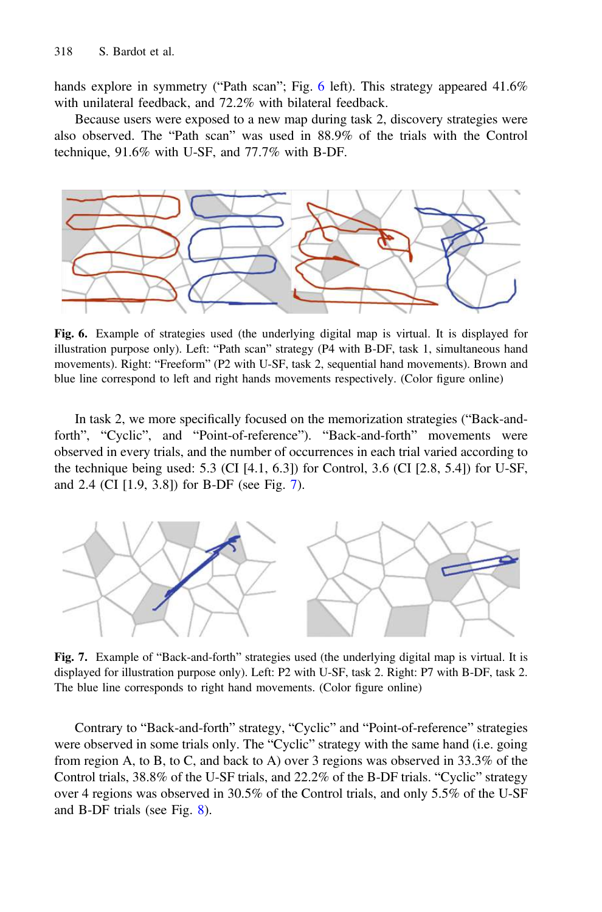<span id="page-13-0"></span>hands explore in symmetry ("Path scan"; Fig. 6 left). This strategy appeared 41.6% with unilateral feedback, and 72.2% with bilateral feedback.

Because users were exposed to a new map during task 2, discovery strategies were also observed. The "Path scan" was used in 88.9% of the trials with the Control technique, 91.6% with U-SF, and 77.7% with B-DF.



Fig. 6. Example of strategies used (the underlying digital map is virtual. It is displayed for illustration purpose only). Left: "Path scan" strategy (P4 with B-DF, task 1, simultaneous hand movements). Right: "Freeform" (P2 with U-SF, task 2, sequential hand movements). Brown and blue line correspond to left and right hands movements respectively. (Color figure online)

In task 2, we more specifically focused on the memorization strategies ("Back-andforth", "Cyclic", and "Point-of-reference"). "Back-and-forth" movements were observed in every trials, and the number of occurrences in each trial varied according to the technique being used: 5.3 (CI [4.1, 6.3]) for Control, 3.6 (CI [2.8, 5.4]) for U-SF, and 2.4 (CI [1.9, 3.8]) for B-DF (see Fig. 7).



Fig. 7. Example of "Back-and-forth" strategies used (the underlying digital map is virtual. It is displayed for illustration purpose only). Left: P2 with U-SF, task 2. Right: P7 with B-DF, task 2. The blue line corresponds to right hand movements. (Color figure online)

Contrary to "Back-and-forth" strategy, "Cyclic" and "Point-of-reference" strategies were observed in some trials only. The "Cyclic" strategy with the same hand (i.e. going from region A, to B, to C, and back to A) over 3 regions was observed in 33.3% of the Control trials, 38.8% of the U-SF trials, and 22.2% of the B-DF trials. "Cyclic" strategy over 4 regions was observed in 30.5% of the Control trials, and only 5.5% of the U-SF and B-DF trials (see Fig. [8](#page-14-0)).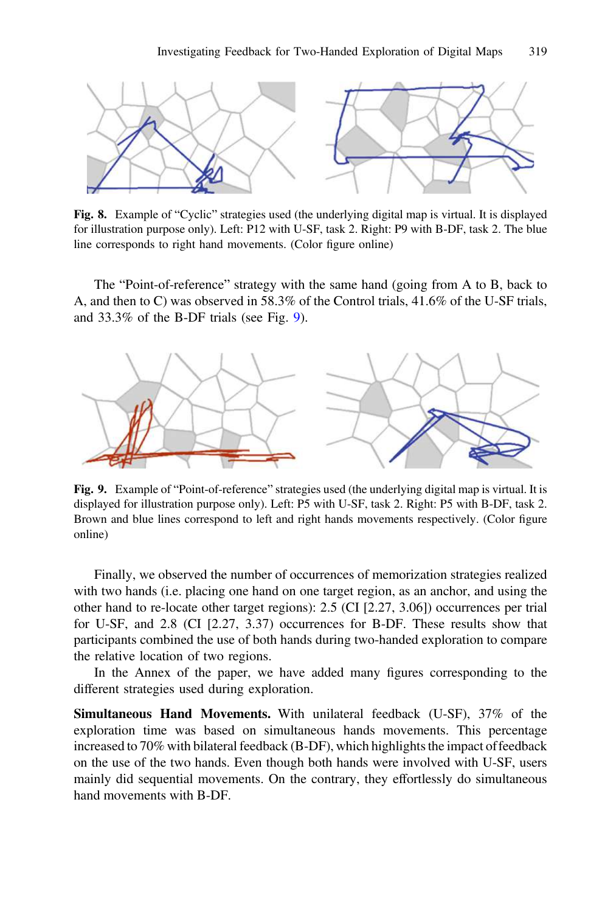<span id="page-14-0"></span>

Fig. 8. Example of "Cyclic" strategies used (the underlying digital map is virtual. It is displayed for illustration purpose only). Left: P12 with U-SF, task 2. Right: P9 with B-DF, task 2. The blue line corresponds to right hand movements. (Color figure online)

The "Point-of-reference" strategy with the same hand (going from A to B, back to A, and then to C) was observed in 58.3% of the Control trials, 41.6% of the U-SF trials, and 33.3% of the B-DF trials (see Fig. 9).



Fig. 9. Example of "Point-of-reference" strategies used (the underlying digital map is virtual. It is displayed for illustration purpose only). Left: P5 with U-SF, task 2. Right: P5 with B-DF, task 2. Brown and blue lines correspond to left and right hands movements respectively. (Color figure online)

Finally, we observed the number of occurrences of memorization strategies realized with two hands (i.e. placing one hand on one target region, as an anchor, and using the other hand to re-locate other target regions): 2.5 (CI [2.27, 3.06]) occurrences per trial for U-SF, and 2.8 (CI [2.27, 3.37) occurrences for B-DF. These results show that participants combined the use of both hands during two-handed exploration to compare the relative location of two regions.

In the Annex of the paper, we have added many figures corresponding to the different strategies used during exploration.

Simultaneous Hand Movements. With unilateral feedback (U-SF), 37% of the exploration time was based on simultaneous hands movements. This percentage increased to 70% with bilateral feedback (B-DF), which highlights the impact of feedback on the use of the two hands. Even though both hands were involved with U-SF, users mainly did sequential movements. On the contrary, they effortlessly do simultaneous hand movements with B-DF.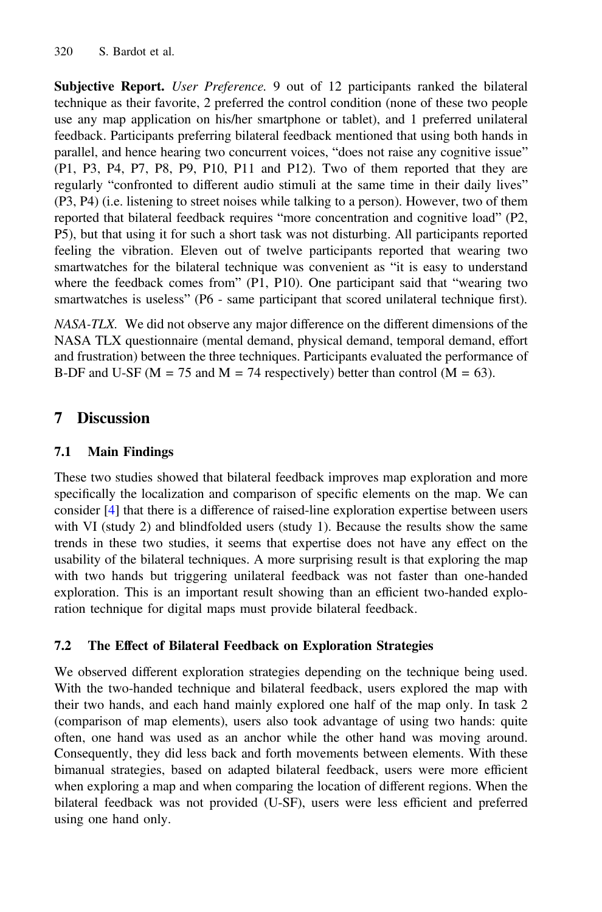Subjective Report. User Preference. 9 out of 12 participants ranked the bilateral technique as their favorite, 2 preferred the control condition (none of these two people use any map application on his/her smartphone or tablet), and 1 preferred unilateral feedback. Participants preferring bilateral feedback mentioned that using both hands in parallel, and hence hearing two concurrent voices, "does not raise any cognitive issue" (P1, P3, P4, P7, P8, P9, P10, P11 and P12). Two of them reported that they are regularly "confronted to different audio stimuli at the same time in their daily lives" (P3, P4) (i.e. listening to street noises while talking to a person). However, two of them reported that bilateral feedback requires "more concentration and cognitive load" (P2, P5), but that using it for such a short task was not disturbing. All participants reported feeling the vibration. Eleven out of twelve participants reported that wearing two smartwatches for the bilateral technique was convenient as "it is easy to understand where the feedback comes from" (P1, P10). One participant said that "wearing two smartwatches is useless" (P6 - same participant that scored unilateral technique first).

NASA-TLX. We did not observe any major difference on the different dimensions of the NASA TLX questionnaire (mental demand, physical demand, temporal demand, effort and frustration) between the three techniques. Participants evaluated the performance of B-DF and U-SF ( $M = 75$  and  $M = 74$  respectively) better than control ( $M = 63$ ).

## 7 Discussion

## 7.1 Main Findings

These two studies showed that bilateral feedback improves map exploration and more specifically the localization and comparison of specific elements on the map. We can consider [\[4](#page-17-0)] that there is a difference of raised-line exploration expertise between users with VI (study 2) and blindfolded users (study 1). Because the results show the same trends in these two studies, it seems that expertise does not have any effect on the usability of the bilateral techniques. A more surprising result is that exploring the map with two hands but triggering unilateral feedback was not faster than one-handed exploration. This is an important result showing than an efficient two-handed exploration technique for digital maps must provide bilateral feedback.

## 7.2 The Effect of Bilateral Feedback on Exploration Strategies

We observed different exploration strategies depending on the technique being used. With the two-handed technique and bilateral feedback, users explored the map with their two hands, and each hand mainly explored one half of the map only. In task 2 (comparison of map elements), users also took advantage of using two hands: quite often, one hand was used as an anchor while the other hand was moving around. Consequently, they did less back and forth movements between elements. With these bimanual strategies, based on adapted bilateral feedback, users were more efficient when exploring a map and when comparing the location of different regions. When the bilateral feedback was not provided (U-SF), users were less efficient and preferred using one hand only.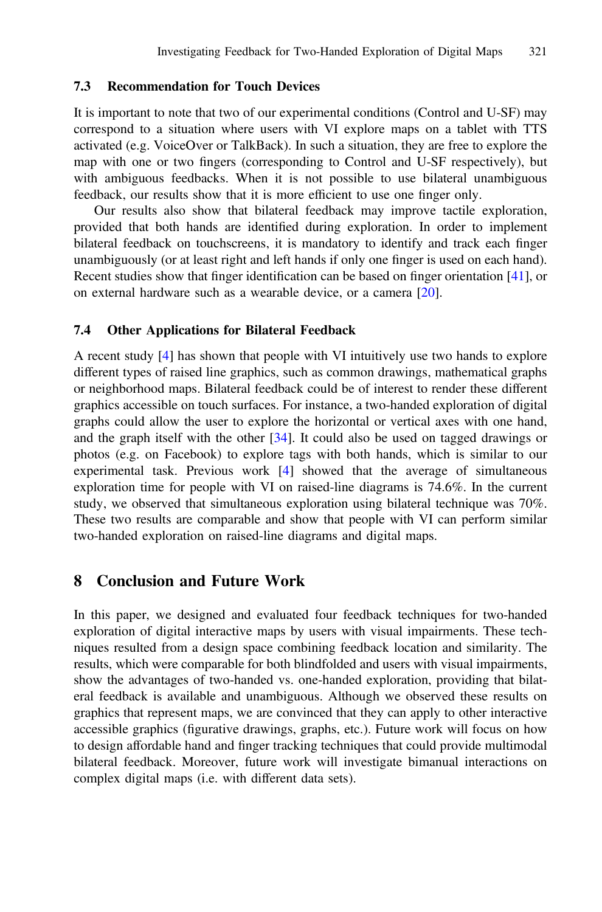#### 7.3 Recommendation for Touch Devices

It is important to note that two of our experimental conditions (Control and U-SF) may correspond to a situation where users with VI explore maps on a tablet with TTS activated (e.g. VoiceOver or TalkBack). In such a situation, they are free to explore the map with one or two fingers (corresponding to Control and U-SF respectively), but with ambiguous feedbacks. When it is not possible to use bilateral unambiguous feedback, our results show that it is more efficient to use one finger only.

Our results also show that bilateral feedback may improve tactile exploration, provided that both hands are identified during exploration. In order to implement bilateral feedback on touchscreens, it is mandatory to identify and track each finger unambiguously (or at least right and left hands if only one finger is used on each hand). Recent studies show that finger identification can be based on finger orientation [\[41](#page-19-0)], or on external hardware such as a wearable device, or a camera [[20\]](#page-18-0).

#### 7.4 Other Applications for Bilateral Feedback

A recent study [[4\]](#page-17-0) has shown that people with VI intuitively use two hands to explore different types of raised line graphics, such as common drawings, mathematical graphs or neighborhood maps. Bilateral feedback could be of interest to render these different graphics accessible on touch surfaces. For instance, a two-handed exploration of digital graphs could allow the user to explore the horizontal or vertical axes with one hand, and the graph itself with the other [\[34](#page-19-0)]. It could also be used on tagged drawings or photos (e.g. on Facebook) to explore tags with both hands, which is similar to our experimental task. Previous work [\[4](#page-17-0)] showed that the average of simultaneous exploration time for people with VI on raised-line diagrams is 74.6%. In the current study, we observed that simultaneous exploration using bilateral technique was 70%. These two results are comparable and show that people with VI can perform similar two-handed exploration on raised-line diagrams and digital maps.

#### 8 Conclusion and Future Work

In this paper, we designed and evaluated four feedback techniques for two-handed exploration of digital interactive maps by users with visual impairments. These techniques resulted from a design space combining feedback location and similarity. The results, which were comparable for both blindfolded and users with visual impairments, show the advantages of two-handed vs. one-handed exploration, providing that bilateral feedback is available and unambiguous. Although we observed these results on graphics that represent maps, we are convinced that they can apply to other interactive accessible graphics (figurative drawings, graphs, etc.). Future work will focus on how to design affordable hand and finger tracking techniques that could provide multimodal bilateral feedback. Moreover, future work will investigate bimanual interactions on complex digital maps (i.e. with different data sets).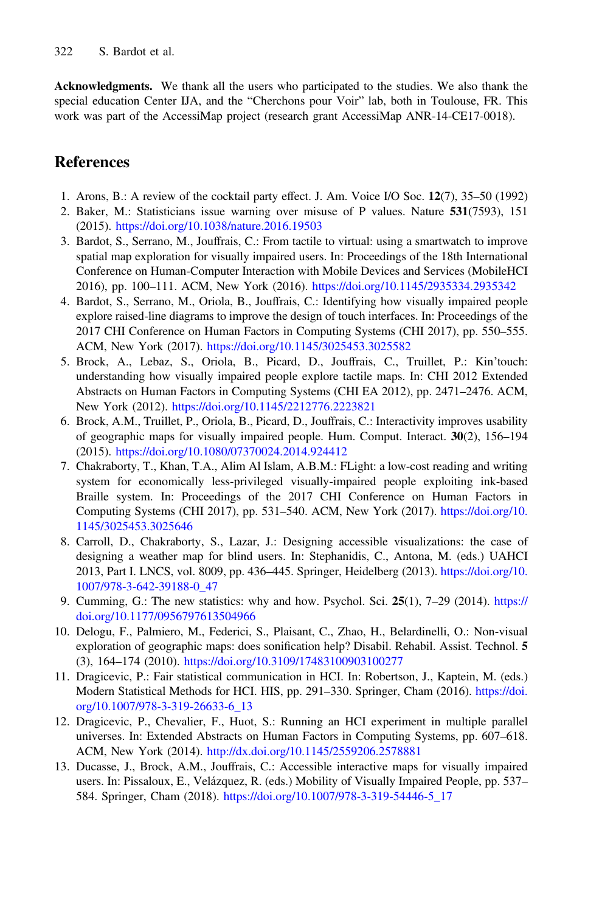<span id="page-17-0"></span>Acknowledgments. We thank all the users who participated to the studies. We also thank the special education Center IJA, and the "Cherchons pour Voir" lab, both in Toulouse, FR. This work was part of the AccessiMap project (research grant AccessiMap ANR-14-CE17-0018).

## **References**

- 1. Arons, B.: A review of the cocktail party effect. J. Am. Voice I/O Soc. 12(7), 35–50 (1992)
- 2. Baker, M.: Statisticians issue warning over misuse of P values. Nature 531(7593), 151 (2015). [https://doi.org/10.1038/nature.2016.19503](http://dx.doi.org/10.1038/nature.2016.19503)
- 3. Bardot, S., Serrano, M., Jouffrais, C.: From tactile to virtual: using a smartwatch to improve spatial map exploration for visually impaired users. In: Proceedings of the 18th International Conference on Human-Computer Interaction with Mobile Devices and Services (MobileHCI 2016), pp. 100–111. ACM, New York (2016). [https://doi.org/10.1145/2935334.2935342](http://dx.doi.org/10.1145/2935334.2935342)
- 4. Bardot, S., Serrano, M., Oriola, B., Jouffrais, C.: Identifying how visually impaired people explore raised-line diagrams to improve the design of touch interfaces. In: Proceedings of the 2017 CHI Conference on Human Factors in Computing Systems (CHI 2017), pp. 550–555. ACM, New York (2017). [https://doi.org/10.1145/3025453.3025582](http://dx.doi.org/10.1145/3025453.3025582)
- 5. Brock, A., Lebaz, S., Oriola, B., Picard, D., Jouffrais, C., Truillet, P.: Kin'touch: understanding how visually impaired people explore tactile maps. In: CHI 2012 Extended Abstracts on Human Factors in Computing Systems (CHI EA 2012), pp. 2471–2476. ACM, New York (2012). [https://doi.org/10.1145/2212776.2223821](http://dx.doi.org/10.1145/2212776.2223821)
- 6. Brock, A.M., Truillet, P., Oriola, B., Picard, D., Jouffrais, C.: Interactivity improves usability of geographic maps for visually impaired people. Hum. Comput. Interact. 30(2), 156–194 (2015). [https://doi.org/10.1080/07370024.2014.924412](http://dx.doi.org/10.1080/07370024.2014.924412)
- 7. Chakraborty, T., Khan, T.A., Alim Al Islam, A.B.M.: FLight: a low-cost reading and writing system for economically less-privileged visually-impaired people exploiting ink-based Braille system. In: Proceedings of the 2017 CHI Conference on Human Factors in Computing Systems (CHI 2017), pp. 531–540. ACM, New York (2017). [https://doi.org/10.](http://dx.doi.org/10.1145/3025453.3025646) [1145/3025453.3025646](http://dx.doi.org/10.1145/3025453.3025646)
- 8. Carroll, D., Chakraborty, S., Lazar, J.: Designing accessible visualizations: the case of designing a weather map for blind users. In: Stephanidis, C., Antona, M. (eds.) UAHCI 2013, Part I. LNCS, vol. 8009, pp. 436–445. Springer, Heidelberg (2013). [https://doi.org/10.](http://dx.doi.org/10.1007/978-3-642-39188-0_47) [1007/978-3-642-39188-0\\_47](http://dx.doi.org/10.1007/978-3-642-39188-0_47)
- 9. Cumming, G.: The new statistics: why and how. Psychol. Sci.  $25(1)$ ,  $7-29$  (2014). [https://](http://dx.doi.org/10.1177/0956797613504966) [doi.org/10.1177/0956797613504966](http://dx.doi.org/10.1177/0956797613504966)
- 10. Delogu, F., Palmiero, M., Federici, S., Plaisant, C., Zhao, H., Belardinelli, O.: Non-visual exploration of geographic maps: does sonification help? Disabil. Rehabil. Assist. Technol. 5 (3), 164–174 (2010). [https://doi.org/10.3109/17483100903100277](http://dx.doi.org/10.3109/17483100903100277)
- 11. Dragicevic, P.: Fair statistical communication in HCI. In: Robertson, J., Kaptein, M. (eds.) Modern Statistical Methods for HCI. HIS, pp. 291–330. Springer, Cham (2016). [https://doi.](http://dx.doi.org/10.1007/978-3-319-26633-6_13) [org/10.1007/978-3-319-26633-6\\_13](http://dx.doi.org/10.1007/978-3-319-26633-6_13)
- 12. Dragicevic, P., Chevalier, F., Huot, S.: Running an HCI experiment in multiple parallel universes. In: Extended Abstracts on Human Factors in Computing Systems, pp. 607–618. ACM, New York (2014). <http://dx.doi.org/10.1145/2559206.2578881>
- 13. Ducasse, J., Brock, A.M., Jouffrais, C.: Accessible interactive maps for visually impaired users. In: Pissaloux, E., Velázquez, R. (eds.) Mobility of Visually Impaired People, pp. 537– 584. Springer, Cham (2018). [https://doi.org/10.1007/978-3-319-54446-5\\_17](http://dx.doi.org/10.1007/978-3-319-54446-5_17)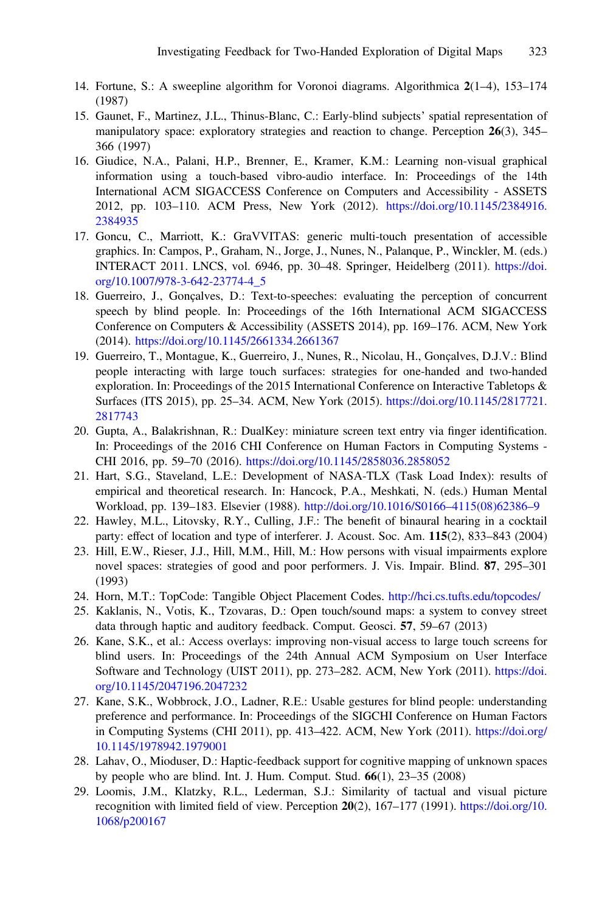- <span id="page-18-0"></span>14. Fortune, S.: A sweepline algorithm for Voronoi diagrams. Algorithmica 2(1–4), 153–174 (1987)
- 15. Gaunet, F., Martinez, J.L., Thinus-Blanc, C.: Early-blind subjects' spatial representation of manipulatory space: exploratory strategies and reaction to change. Perception 26(3), 345– 366 (1997)
- 16. Giudice, N.A., Palani, H.P., Brenner, E., Kramer, K.M.: Learning non-visual graphical information using a touch-based vibro-audio interface. In: Proceedings of the 14th International ACM SIGACCESS Conference on Computers and Accessibility - ASSETS 2012, pp. 103–110. ACM Press, New York (2012). [https://doi.org/10.1145/2384916.](http://dx.doi.org/10.1145/2384916.2384935) [2384935](http://dx.doi.org/10.1145/2384916.2384935)
- 17. Goncu, C., Marriott, K.: GraVVITAS: generic multi-touch presentation of accessible graphics. In: Campos, P., Graham, N., Jorge, J., Nunes, N., Palanque, P., Winckler, M. (eds.) INTERACT 2011. LNCS, vol. 6946, pp. 30–48. Springer, Heidelberg (2011). [https://doi.](http://dx.doi.org/10.1007/978-3-642-23774-4_5) [org/10.1007/978-3-642-23774-4\\_5](http://dx.doi.org/10.1007/978-3-642-23774-4_5)
- 18. Guerreiro, J., Gonçalves, D.: Text-to-speeches: evaluating the perception of concurrent speech by blind people. In: Proceedings of the 16th International ACM SIGACCESS Conference on Computers & Accessibility (ASSETS 2014), pp. 169–176. ACM, New York (2014). [https://doi.org/10.1145/2661334.2661367](http://dx.doi.org/10.1145/2661334.2661367)
- 19. Guerreiro, T., Montague, K., Guerreiro, J., Nunes, R., Nicolau, H., Gonçalves, D.J.V.: Blind people interacting with large touch surfaces: strategies for one-handed and two-handed exploration. In: Proceedings of the 2015 International Conference on Interactive Tabletops & Surfaces (ITS 2015), pp. 25–34. ACM, New York (2015). [https://doi.org/10.1145/2817721.](http://dx.doi.org/10.1145/2817721.2817743) [2817743](http://dx.doi.org/10.1145/2817721.2817743)
- 20. Gupta, A., Balakrishnan, R.: DualKey: miniature screen text entry via finger identification. In: Proceedings of the 2016 CHI Conference on Human Factors in Computing Systems - CHI 2016, pp. 59–70 (2016). [https://doi.org/10.1145/2858036.2858052](http://dx.doi.org/10.1145/2858036.2858052)
- 21. Hart, S.G., Staveland, L.E.: Development of NASA-TLX (Task Load Index): results of empirical and theoretical research. In: Hancock, P.A., Meshkati, N. (eds.) Human Mental Workload, pp. 139–183. Elsevier (1988). [http://doi.org/10.1016/S0166](http://doi.org/10.1016/S0166%e2%80%934115(08)62386%e2%80%939)–4115(08)62386–9
- 22. Hawley, M.L., Litovsky, R.Y., Culling, J.F.: The benefit of binaural hearing in a cocktail party: effect of location and type of interferer. J. Acoust. Soc. Am. 115(2), 833–843 (2004)
- 23. Hill, E.W., Rieser, J.J., Hill, M.M., Hill, M.: How persons with visual impairments explore novel spaces: strategies of good and poor performers. J. Vis. Impair. Blind. 87, 295–301 (1993)
- 24. Horn, M.T.: TopCode: Tangible Object Placement Codes. <http://hci.cs.tufts.edu/topcodes/>
- 25. Kaklanis, N., Votis, K., Tzovaras, D.: Open touch/sound maps: a system to convey street data through haptic and auditory feedback. Comput. Geosci. 57, 59–67 (2013)
- 26. Kane, S.K., et al.: Access overlays: improving non-visual access to large touch screens for blind users. In: Proceedings of the 24th Annual ACM Symposium on User Interface Software and Technology (UIST 2011), pp. 273–282. ACM, New York (2011). [https://doi.](http://dx.doi.org/10.1145/2047196.2047232) [org/10.1145/2047196.2047232](http://dx.doi.org/10.1145/2047196.2047232)
- 27. Kane, S.K., Wobbrock, J.O., Ladner, R.E.: Usable gestures for blind people: understanding preference and performance. In: Proceedings of the SIGCHI Conference on Human Factors in Computing Systems (CHI 2011), pp. 413–422. ACM, New York (2011). [https://doi.org/](http://dx.doi.org/10.1145/1978942.1979001) [10.1145/1978942.1979001](http://dx.doi.org/10.1145/1978942.1979001)
- 28. Lahav, O., Mioduser, D.: Haptic-feedback support for cognitive mapping of unknown spaces by people who are blind. Int. J. Hum. Comput. Stud. 66(1), 23–35 (2008)
- 29. Loomis, J.M., Klatzky, R.L., Lederman, S.J.: Similarity of tactual and visual picture recognition with limited field of view. Perception 20(2), 167–177 (1991). [https://doi.org/10.](http://dx.doi.org/10.1068/p200167) [1068/p200167](http://dx.doi.org/10.1068/p200167)